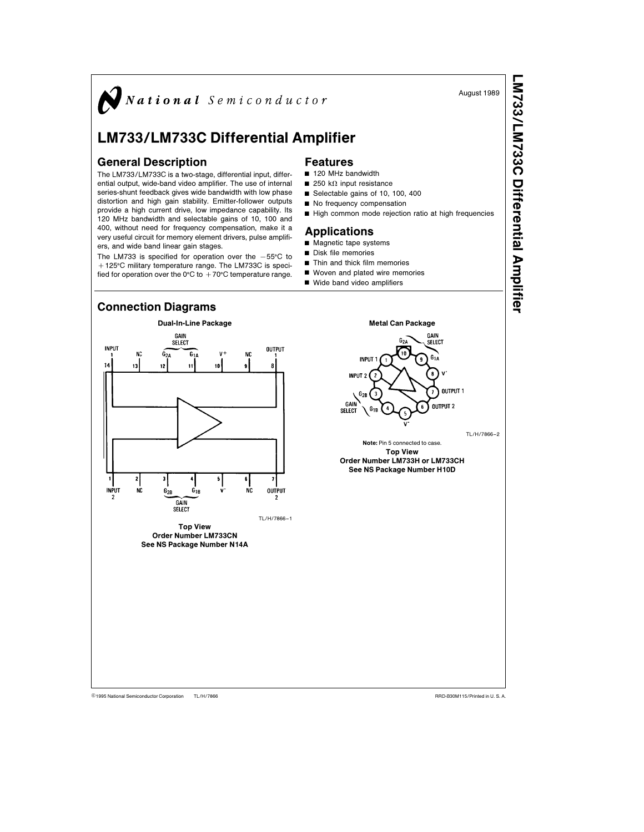

## LM733/LM733C Differential Amplifier

## General Description

The LM733/LM733C is a two-stage, differential input, differential output, wide-band video amplifier. The use of internal series-shunt feedback gives wide bandwidth with low phase distortion and high gain stability. Emitter-follower outputs provide a high current drive, low impedance capability. Its 120 MHz bandwidth and selectable gains of 10, 100 and 400, without need for frequency compensation, make it a very useful circuit for memory element drivers, pulse amplifiers, and wide band linear gain stages.

The LM733 is specified for operation over the  $-55^{\circ}$ C to +125°C military temperature range. The LM733C is specified for operation over the 0°C to  $+70^{\circ}$ C temperature range.

- Features
- 120 MHz bandwidth
- $\blacksquare$  250 k $\Omega$  input resistance
- $\blacksquare$  Selectable gains of 10, 100, 400  $\blacksquare$  No frequency compensation
- High common mode rejection ratio at high frequencies
- Applications
- $\blacksquare$  Magnetic tape systems
- $\blacksquare$  Disk file memories
- Thin and thick film memories
- $\blacksquare$  Woven and plated wire memories
- Wide band video amplifiers



TL/H/7866 C1995 National Semiconductor Corporation TL/H/7866 National Semiconductor Corporation RRD-B30M115/Printed in U. S. A.

LM733/LM733CDifferentialAmplifier

August 1989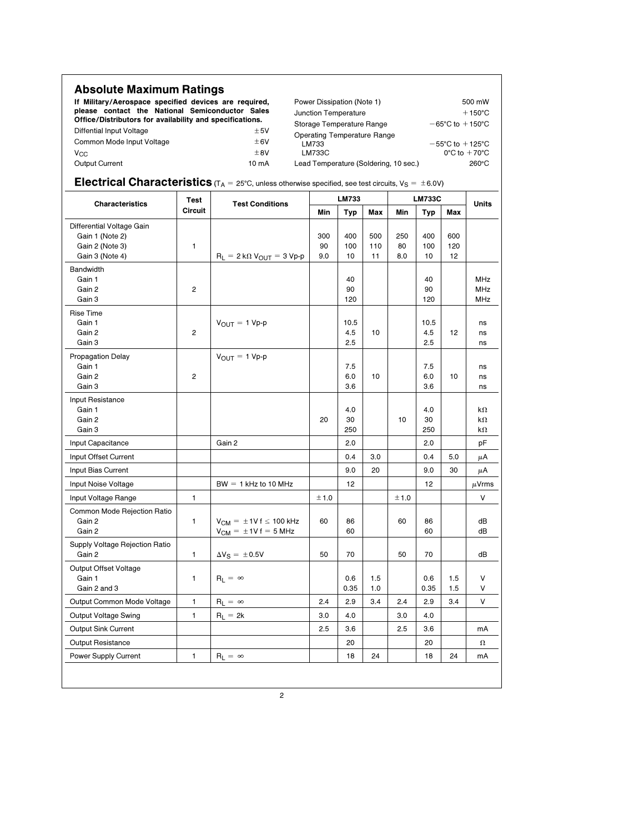| <b>Absolute Maximum Ratings</b>                                                                                                                                      |                 |                                       |                                                                   |  |  |
|----------------------------------------------------------------------------------------------------------------------------------------------------------------------|-----------------|---------------------------------------|-------------------------------------------------------------------|--|--|
| If Military/Aerospace specified devices are required,<br>please contact the National Semiconductor Sales<br>Office/Distributors for availability and specifications. |                 | Power Dissipation (Note 1)            | 500 mW<br>$+150^{\circ}$ C<br>$-65^{\circ}$ C to $+150^{\circ}$ C |  |  |
|                                                                                                                                                                      |                 | Junction Temperature                  |                                                                   |  |  |
|                                                                                                                                                                      |                 | Storage Temperature Range             |                                                                   |  |  |
| Diffential Input Voltage                                                                                                                                             | ±5V             | Operating Temperature Range           |                                                                   |  |  |
| Common Mode Input Voltage                                                                                                                                            | ±6V             | LM733                                 | $-55^{\circ}$ C to $+125^{\circ}$ C                               |  |  |
| $V_{\rm CC}$                                                                                                                                                         | $+8V$           | LM733C                                | $0^{\circ}$ C to $+70^{\circ}$ C                                  |  |  |
| <b>Output Current</b>                                                                                                                                                | $10 \text{ mA}$ | Lead Temperature (Soldering, 10 sec.) | $260^{\circ}$ C                                                   |  |  |

## **Electrical Characteristics** ( $T_A = 25^{\circ}$ C, unless otherwise specified, see test circuits,  $V_S = \pm 6.0V$ )

| <b>Characteristics</b>                                                             | <b>Test</b><br><b>Circuit</b> | <b>Test Conditions</b>                                       | LM733            |                    |                  | <b>LM733C</b>    |                    |                  | Units                                |
|------------------------------------------------------------------------------------|-------------------------------|--------------------------------------------------------------|------------------|--------------------|------------------|------------------|--------------------|------------------|--------------------------------------|
|                                                                                    |                               |                                                              | Min              | Typ                | Max              | Min              | Typ                | Max              |                                      |
| Differential Voltage Gain<br>Gain 1 (Note 2)<br>Gain 2 (Note 3)<br>Gain 3 (Note 4) | $\mathbf{1}$                  | $R_L = 2 k\Omega V_{OUT} = 3 Vp-p$                           | 300<br>90<br>9.0 | 400<br>100<br>10   | 500<br>110<br>11 | 250<br>80<br>8.0 | 400<br>100<br>10   | 600<br>120<br>12 |                                      |
| Bandwidth<br>Gain 1<br>Gain 2<br>Gain 3                                            | $\overline{2}$                |                                                              |                  | 40<br>90<br>120    |                  |                  | 40<br>90<br>120    |                  | <b>MHz</b><br><b>MHz</b><br>MHz      |
| <b>Rise Time</b><br>Gain 1<br>Gain 2<br>Gain 3                                     | 2                             | $V_{OUIT} = 1 Vp-p$                                          |                  | 10.5<br>4.5<br>2.5 | 10               |                  | 10.5<br>4.5<br>2.5 | 12               | ns<br>ns<br>ns                       |
| <b>Propagation Delay</b><br>Gain 1<br>Gain 2<br>Gain 3                             | 2                             | $V_{OUT} = 1 Vp-p$                                           |                  | 7.5<br>6.0<br>3.6  | 10               |                  | 7.5<br>6.0<br>3.6  | 10               | ns<br>ns<br>ns                       |
| Input Resistance<br>Gain 1<br>Gain 2<br>Gain 3                                     |                               |                                                              | 20               | 4.0<br>30<br>250   |                  | 10               | 4.0<br>30<br>250   |                  | $k\Omega$<br>$k\Omega$<br>k $\Omega$ |
| Input Capacitance                                                                  |                               | Gain 2                                                       |                  | 2.0                |                  |                  | 2.0                |                  | pF                                   |
| Input Offset Current                                                               |                               |                                                              |                  | 0.4                | 3.0              |                  | 0.4                | 5.0              | μA                                   |
| Input Bias Current                                                                 |                               |                                                              |                  | 9.0                | 20               |                  | 9.0                | 30               | μA                                   |
| Input Noise Voltage                                                                |                               | $BW = 1$ kHz to 10 MHz                                       |                  | 12                 |                  |                  | 12                 |                  | $\mu$ Vrms                           |
| Input Voltage Range                                                                | $\mathbf{1}$                  |                                                              | ±1.0             |                    |                  | ± 1.0            |                    |                  | V                                    |
| Common Mode Rejection Ratio<br>Gain 2<br>Gain 2                                    | 1                             | $V_{CM} = \pm 1Vf \le 100$ kHz<br>$V_{CM} = \pm 1Vf = 5 MHz$ | 60               | 86<br>60           |                  | 60               | 86<br>60           |                  | dB<br>dB                             |
| Supply Voltage Rejection Ratio<br>Gain 2                                           | 1                             | $\Delta V_S = \pm 0.5 V$                                     | 50               | 70                 |                  | 50               | 70                 |                  | dB                                   |
| Output Offset Voltage<br>Gain 1<br>Gain 2 and 3                                    | 1                             | $R_L = \infty$                                               |                  | 0.6<br>0.35        | 1.5<br>1.0       |                  | 0.6<br>0.35        | 1.5<br>1.5       | V<br>V                               |
| Output Common Mode Voltage                                                         | 1                             | $R_L = \infty$                                               | 2.4              | 2.9                | 3.4              | 2.4              | 2.9                | 3.4              | v                                    |
| <b>Output Voltage Swing</b>                                                        | 1                             | $R_L = 2k$                                                   | 3.0              | 4.0                |                  | 3.0              | 4.0                |                  |                                      |
| Output Sink Current                                                                |                               |                                                              | 2.5              | 3.6                |                  | 2.5              | 3.6                |                  | mA                                   |
| <b>Output Resistance</b>                                                           |                               |                                                              |                  | 20                 |                  |                  | 20                 |                  | $\Omega$                             |
| Power Supply Current                                                               | 1                             | $R_L = \infty$                                               |                  | 18                 | 24               |                  | 18                 | 24               | mA                                   |
|                                                                                    |                               |                                                              |                  |                    |                  |                  |                    |                  |                                      |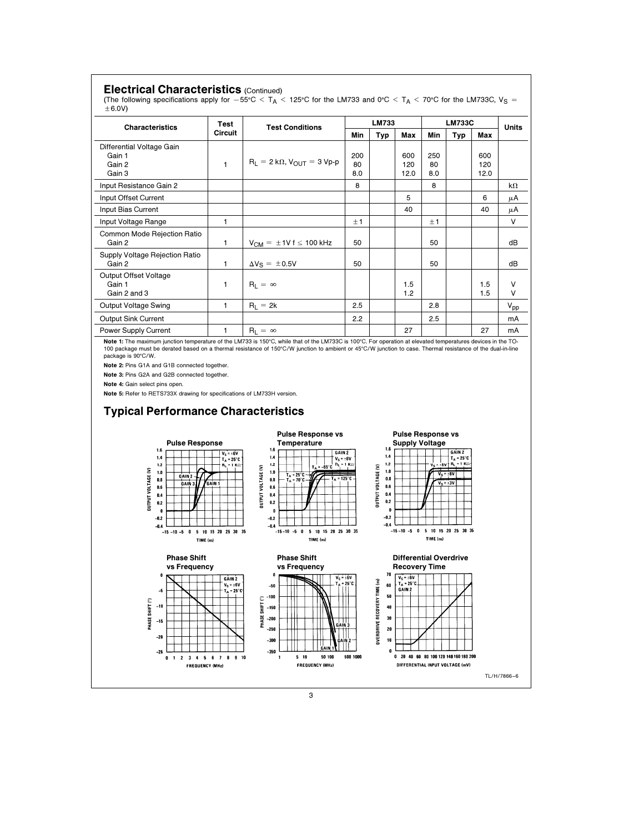| <b>Characteristics</b>                                                                  | Test                                                                   | <b>Test Conditions</b>                                                                                                                                                                                                                                                  |           | LM733                                                                              |                                                   |           | <b>LM733C</b>                                                                                         |             | Units    |
|-----------------------------------------------------------------------------------------|------------------------------------------------------------------------|-------------------------------------------------------------------------------------------------------------------------------------------------------------------------------------------------------------------------------------------------------------------------|-----------|------------------------------------------------------------------------------------|---------------------------------------------------|-----------|-------------------------------------------------------------------------------------------------------|-------------|----------|
|                                                                                         | Circuit                                                                |                                                                                                                                                                                                                                                                         | Min       | <b>Typ</b>                                                                         | Max                                               | Min       | Typ                                                                                                   | Max         |          |
| Differential Voltage Gain                                                               |                                                                        |                                                                                                                                                                                                                                                                         |           |                                                                                    |                                                   |           |                                                                                                       |             |          |
| Gain 1                                                                                  |                                                                        | $R_L = 2 k\Omega$ , $V_{OUT} = 3 Vp-p$                                                                                                                                                                                                                                  | 200       |                                                                                    | 600                                               | 250       |                                                                                                       | 600         |          |
| Gain 2<br>Gain 3                                                                        | 1                                                                      |                                                                                                                                                                                                                                                                         | 80<br>8.0 |                                                                                    | 120<br>12.0                                       | 80<br>8.0 |                                                                                                       | 120<br>12.0 |          |
| Input Resistance Gain 2                                                                 |                                                                        |                                                                                                                                                                                                                                                                         | 8         |                                                                                    |                                                   | 8         |                                                                                                       |             | kΩ       |
| Input Offset Current                                                                    |                                                                        |                                                                                                                                                                                                                                                                         |           |                                                                                    | 5                                                 |           |                                                                                                       | 6           | μA       |
| Input Bias Current                                                                      |                                                                        |                                                                                                                                                                                                                                                                         |           |                                                                                    | 40                                                |           |                                                                                                       | 40          | μA       |
| Input Voltage Range                                                                     | 1                                                                      |                                                                                                                                                                                                                                                                         | ±1        |                                                                                    |                                                   | ±1        |                                                                                                       |             | v        |
| Common Mode Rejection Ratio<br>Gain 2                                                   | 1                                                                      | $V_{CM} = \pm 1Vf \le 100$ kHz                                                                                                                                                                                                                                          | 50        |                                                                                    |                                                   | 50        |                                                                                                       |             | dВ       |
| Supply Voltage Rejection Ratio<br>Gain 2                                                | 1                                                                      | $\Delta V_S = \pm 0.5V$                                                                                                                                                                                                                                                 | 50        |                                                                                    |                                                   | 50        |                                                                                                       |             | dВ       |
| Output Offset Voltage<br>Gain 1                                                         | 1                                                                      | $R_L = \infty$                                                                                                                                                                                                                                                          |           |                                                                                    | 1.5                                               |           |                                                                                                       | 1.5         | ٧        |
| Gain 2 and 3                                                                            |                                                                        |                                                                                                                                                                                                                                                                         |           |                                                                                    | 1.2                                               |           |                                                                                                       | 1.5         | v        |
| Output Voltage Swing                                                                    | 1                                                                      | $R_1 = 2k$                                                                                                                                                                                                                                                              | 2.5       |                                                                                    |                                                   | 2.8       |                                                                                                       |             | $V_{pp}$ |
| <b>Output Sink Current</b>                                                              |                                                                        |                                                                                                                                                                                                                                                                         | 2.2       |                                                                                    |                                                   | 2.5       |                                                                                                       |             | mA       |
| <b>Power Supply Current</b>                                                             | 1                                                                      | $R_L = \infty$<br>Note 1: The maximum junction temperature of the LM733 is 150°C, while that of the LM733C is 100°C. For operation at elevated temperatures devices in the TO-                                                                                          |           |                                                                                    | 27                                                |           |                                                                                                       | 27          | mA       |
| <b>Pulse Response</b><br>1.6<br>1.4<br>$1.2$<br>$1.0$<br>GAIN 2<br>0.8<br><b>GAIN 3</b> | $V_S = \pm 6V$<br>$T_A = 25^\circ C$<br>$R_L = 1$ K $\Omega$<br>GAIN 1 | <b>Pulse Response vs</b><br>Temperature<br>1.6<br>GAIN <sub>2</sub><br>1.4<br>$V_S = \pm 6V$<br>$R_L = 1$ K $\Omega$<br>1.2<br>$T_A = -55^\circ C$<br><b>OUTPUT VOLTAGE (V)</b><br>1.0<br>$T_A = 25^\circ C$<br>$T_A = 125^\circ C$<br>0.8<br>$T_A = 70^\circ C$<br>0.6 |           | 1.6<br>1.4<br>$1.2\,$<br><b>DUTPUT VOLTAGE (V)</b><br>$1.0\,$<br>0.8<br>0.6<br>0.4 | <b>Pulse Response vs</b><br><b>Supply Voltage</b> |           | GAIN 2<br>$T_A = 25^\circ C$<br>$v_s = \pm 8v + R_t = 1 K \Omega$<br>$V_S = \pm 6V$<br>$V_S = \pm 3V$ |             |          |
| <b>OUTPUT VOLTAGE (V)</b><br>0.6<br>0.4<br>0.2<br>$\pmb{0}$<br>$-0.2$                   |                                                                        | 0.4<br>0.2<br>0<br>$-0.2$                                                                                                                                                                                                                                               |           | $0.2\,$<br>$\pmb{0}$<br>$-0.2$                                                     |                                                   |           |                                                                                                       |             |          |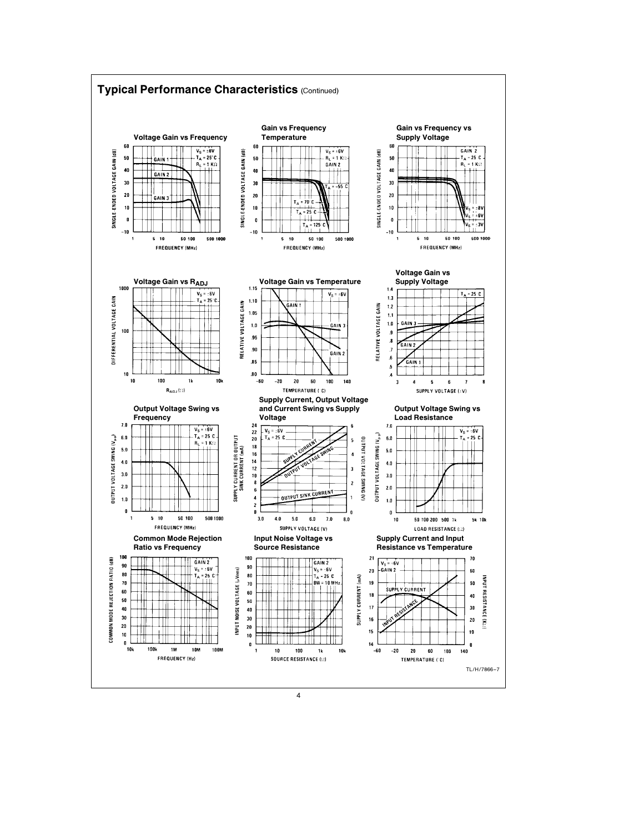

4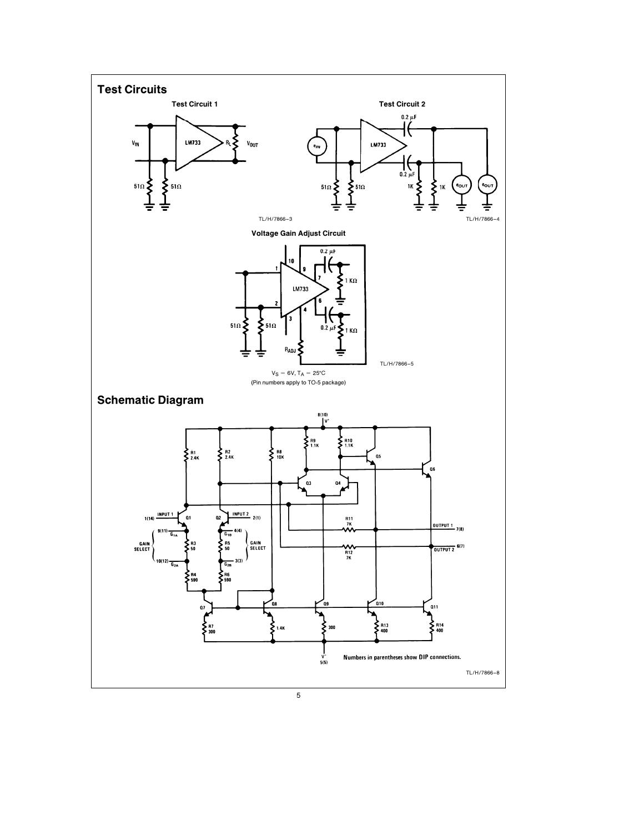